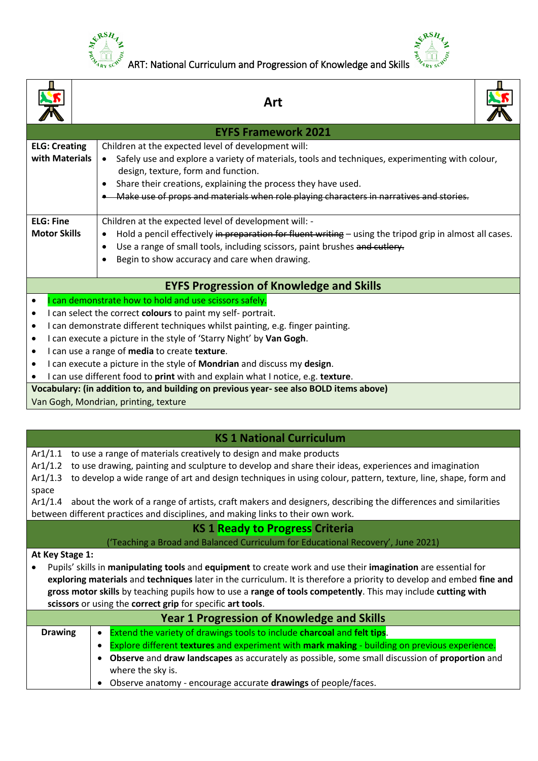

 $\overline{\phantom{a}}$ 

 $\frac{e^{x} - e^{-x}}{x}$ <br>  $\frac{1}{2}$  ART: National Curriculum and Progression of Knowledge and Skills **SERSHA** 

**MOOT** 

 $\overline{\phantom{a}}$ 

|                      | Art                                                                                                                                                                                               |
|----------------------|---------------------------------------------------------------------------------------------------------------------------------------------------------------------------------------------------|
|                      | <b>EYFS Framework 2021</b>                                                                                                                                                                        |
| <b>ELG: Creating</b> | Children at the expected level of development will:                                                                                                                                               |
| with Materials       | Safely use and explore a variety of materials, tools and techniques, experimenting with colour,                                                                                                   |
|                      | design, texture, form and function.<br>Share their creations, explaining the process they have used.                                                                                              |
|                      | $\bullet$<br>Make use of props and materials when role playing characters in narratives and stories.                                                                                              |
|                      |                                                                                                                                                                                                   |
| <b>ELG: Fine</b>     | Children at the expected level of development will: -                                                                                                                                             |
| <b>Motor Skills</b>  | Hold a pencil effectively in preparation for fluent writing - using the tripod grip in almost all cases.<br>$\bullet$                                                                             |
|                      | Use a range of small tools, including scissors, paint brushes and cutlery.<br>$\bullet$                                                                                                           |
|                      | Begin to show accuracy and care when drawing.<br>$\bullet$                                                                                                                                        |
|                      | <b>EYFS Progression of Knowledge and Skills</b>                                                                                                                                                   |
|                      | can demonstrate how to hold and use scissors safely.                                                                                                                                              |
| ٠                    | I can select the correct colours to paint my self-portrait.                                                                                                                                       |
| ٠                    | I can demonstrate different techniques whilst painting, e.g. finger painting.                                                                                                                     |
|                      | I can execute a picture in the style of 'Starry Night' by Van Gogh.                                                                                                                               |
|                      | I can use a range of media to create texture.                                                                                                                                                     |
|                      | I can execute a picture in the style of Mondrian and discuss my design.<br>I can use different food to print with and explain what I notice, e.g. texture.                                        |
|                      | Vocabulary: (in addition to, and building on previous year- see also BOLD items above)                                                                                                            |
|                      | Van Gogh, Mondrian, printing, texture                                                                                                                                                             |
|                      |                                                                                                                                                                                                   |
|                      | <b>KS 1 National Curriculum</b>                                                                                                                                                                   |
| Ar1/1.1              | to use a range of materials creatively to design and make products                                                                                                                                |
|                      | Ar1/1.2 to use drawing, painting and sculpture to develop and share their ideas, experiences and imagination                                                                                      |
|                      | Ar1/1.3 to develop a wide range of art and design techniques in using colour, pattern, texture, line, shape, form and                                                                             |
| space                |                                                                                                                                                                                                   |
| Ar1/1.4              | about the work of a range of artists, craft makers and designers, describing the differences and similarities<br>between different practices and disciplines, and making links to their own work. |
|                      | <b>KS 1 Ready to Progress Criteria</b>                                                                                                                                                            |
|                      | ('Teaching a Broad and Balanced Curriculum for Educational Recovery', June 2021)                                                                                                                  |
| At Key Stage 1:      |                                                                                                                                                                                                   |
|                      | Pupils' skills in manipulating tools and equipment to create work and use their imagination are essential for                                                                                     |
|                      | exploring materials and techniques later in the curriculum. It is therefore a priority to develop and embed fine and                                                                              |
|                      | gross motor skills by teaching pupils how to use a range of tools competently. This may include cutting with                                                                                      |

**scissors** or using the **correct grip** for specific **art tools**.

| <b>Year 1 Progression of Knowledge and Skills</b> |                                                                                                |
|---------------------------------------------------|------------------------------------------------------------------------------------------------|
| <b>Drawing</b>                                    | Extend the variety of drawings tools to include charcoal and felt tips.                        |
|                                                   | Explore different textures and experiment with mark making - building on previous experience.  |
|                                                   | Observe and draw landscapes as accurately as possible, some small discussion of proportion and |
|                                                   | where the sky is.                                                                              |
|                                                   | Observe anatomy - encourage accurate drawings of people/faces.                                 |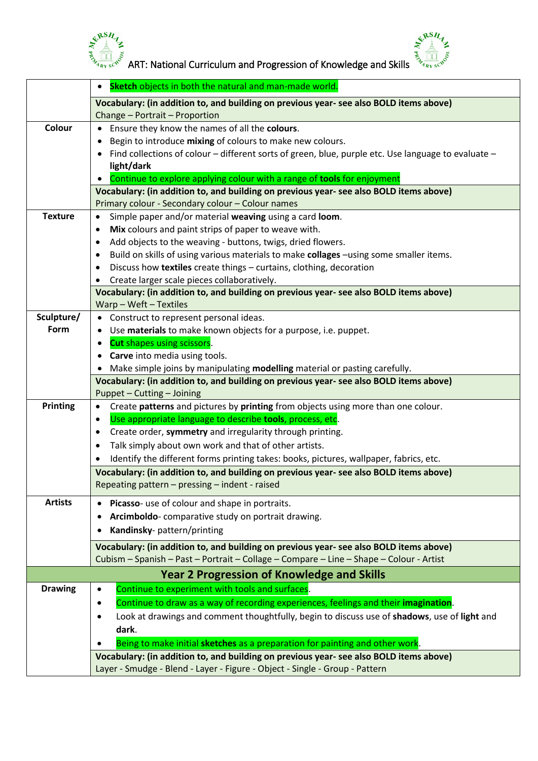



 $\frac{e^{x}{}^{RSH}z}{\sqrt{\frac{10}{x_{16}}e^{x_{2}}}}$  ART: National Curriculum and Progression of Knowledge and Skills  $\frac{e^{x}{}^{RSH}z}{\sqrt{\frac{10}{x_{16}}e^{x_{2}}}}$ 

|                 | Sketch objects in both the natural and man-made world.                                                                                                                |
|-----------------|-----------------------------------------------------------------------------------------------------------------------------------------------------------------------|
|                 | Vocabulary: (in addition to, and building on previous year- see also BOLD items above)                                                                                |
|                 | Change - Portrait - Proportion                                                                                                                                        |
| Colour          | • Ensure they know the names of all the colours.                                                                                                                      |
|                 | Begin to introduce mixing of colours to make new colours.                                                                                                             |
|                 | Find collections of colour - different sorts of green, blue, purple etc. Use language to evaluate -                                                                   |
|                 | light/dark                                                                                                                                                            |
|                 | Continue to explore applying colour with a range of tools for enjoyment                                                                                               |
|                 | Vocabulary: (in addition to, and building on previous year- see also BOLD items above)                                                                                |
|                 | Primary colour - Secondary colour - Colour names                                                                                                                      |
| <b>Texture</b>  | Simple paper and/or material weaving using a card loom.<br>٠                                                                                                          |
|                 | Mix colours and paint strips of paper to weave with.<br>$\bullet$                                                                                                     |
|                 | Add objects to the weaving - buttons, twigs, dried flowers.                                                                                                           |
|                 | Build on skills of using various materials to make collages -using some smaller items.<br>٠                                                                           |
|                 | Discuss how textiles create things - curtains, clothing, decoration<br>$\bullet$                                                                                      |
|                 | Create larger scale pieces collaboratively.                                                                                                                           |
|                 | Vocabulary: (in addition to, and building on previous year- see also BOLD items above)                                                                                |
|                 | Warp - Weft - Textiles                                                                                                                                                |
| Sculpture/      | • Construct to represent personal ideas.                                                                                                                              |
| Form            | • Use materials to make known objects for a purpose, i.e. puppet.                                                                                                     |
|                 | <b>Cut</b> shapes using scissors.<br>$\bullet$                                                                                                                        |
|                 | Carve into media using tools.                                                                                                                                         |
|                 | Make simple joins by manipulating modelling material or pasting carefully.                                                                                            |
|                 | Vocabulary: (in addition to, and building on previous year- see also BOLD items above)                                                                                |
| <b>Printing</b> | Puppet - Cutting - Joining<br>Create patterns and pictures by printing from objects using more than one colour.<br>$\bullet$                                          |
|                 | Use appropriate language to describe tools, process, etc.<br>$\bullet$                                                                                                |
|                 | Create order, symmetry and irregularity through printing.                                                                                                             |
|                 | ٠                                                                                                                                                                     |
|                 | Talk simply about own work and that of other artists.<br>$\bullet$                                                                                                    |
|                 | Identify the different forms printing takes: books, pictures, wallpaper, fabrics, etc.<br>$\bullet$                                                                   |
|                 | Vocabulary: (in addition to, and building on previous year- see also BOLD items above)                                                                                |
|                 | Repeating pattern - pressing - indent - raised                                                                                                                        |
| <b>Artists</b>  | Picasso- use of colour and shape in portraits.                                                                                                                        |
|                 | Arcimboldo-comparative study on portrait drawing.                                                                                                                     |
|                 | Kandinsky- pattern/printing                                                                                                                                           |
|                 | Vocabulary: (in addition to, and building on previous year- see also BOLD items above)                                                                                |
|                 | Cubism - Spanish - Past - Portrait - Collage - Compare - Line - Shape - Colour - Artist                                                                               |
|                 | <b>Year 2 Progression of Knowledge and Skills</b>                                                                                                                     |
| <b>Drawing</b>  | Continue to experiment with tools and surfaces.<br>٠                                                                                                                  |
|                 | Continue to draw as a way of recording experiences, feelings and their imagination.<br>٠                                                                              |
|                 | Look at drawings and comment thoughtfully, begin to discuss use of shadows, use of light and<br>$\bullet$                                                             |
|                 |                                                                                                                                                                       |
|                 | dark.                                                                                                                                                                 |
|                 | Being to make initial sketches as a preparation for painting and other work.                                                                                          |
|                 | Vocabulary: (in addition to, and building on previous year- see also BOLD items above)<br>Layer - Smudge - Blend - Layer - Figure - Object - Single - Group - Pattern |
|                 |                                                                                                                                                                       |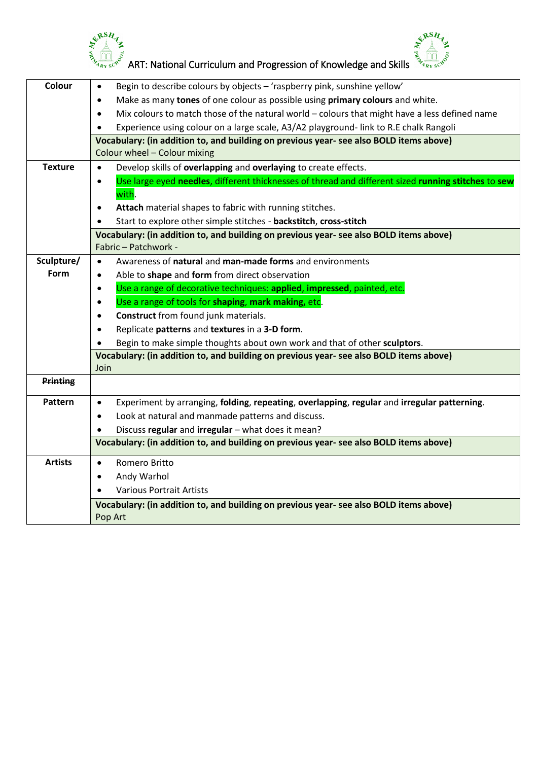



|                 | ERSH<br>ART: National Curriculum and Progression of Knowledge and Skills                                               |
|-----------------|------------------------------------------------------------------------------------------------------------------------|
| Colour          | Begin to describe colours by objects - 'raspberry pink, sunshine yellow'<br>٠                                          |
|                 | Make as many tones of one colour as possible using primary colours and white.                                          |
|                 | Mix colours to match those of the natural world - colours that might have a less defined name<br>$\bullet$             |
|                 | Experience using colour on a large scale, A3/A2 playground- link to R.E chalk Rangoli                                  |
|                 | Vocabulary: (in addition to, and building on previous year- see also BOLD items above)<br>Colour wheel - Colour mixing |
| <b>Texture</b>  | Develop skills of overlapping and overlaying to create effects.<br>$\bullet$                                           |
|                 | Use large eyed needles, different thicknesses of thread and different sized running stitches to sew<br>$\bullet$       |
|                 | with.                                                                                                                  |
|                 | Attach material shapes to fabric with running stitches.<br>٠                                                           |
|                 | Start to explore other simple stitches - backstitch, cross-stitch                                                      |
|                 | Vocabulary: (in addition to, and building on previous year- see also BOLD items above)<br>Fabric - Patchwork -         |
| Sculpture/      | Awareness of natural and man-made forms and environments<br>$\bullet$                                                  |
| Form            | Able to shape and form from direct observation<br>٠                                                                    |
|                 | Use a range of decorative techniques: applied, impressed, painted, etc.<br>٠                                           |
|                 | Use a range of tools for shaping, mark making, etc.                                                                    |
|                 | <b>Construct</b> from found junk materials.<br>٠                                                                       |
|                 | Replicate patterns and textures in a 3-D form.                                                                         |
|                 | Begin to make simple thoughts about own work and that of other sculptors.                                              |
|                 | Vocabulary: (in addition to, and building on previous year-see also BOLD items above)                                  |
| <b>Printing</b> | Join                                                                                                                   |
|                 |                                                                                                                        |
| Pattern         | Experiment by arranging, folding, repeating, overlapping, regular and irregular patterning.<br>٠                       |
|                 | Look at natural and manmade patterns and discuss.                                                                      |
|                 | Discuss regular and irregular - what does it mean?                                                                     |
|                 | Vocabulary: (in addition to, and building on previous year- see also BOLD items above)                                 |
| <b>Artists</b>  | Romero Britto<br>$\bullet$                                                                                             |
|                 | Andy Warhol<br>$\bullet$                                                                                               |
|                 | <b>Various Portrait Artists</b><br>$\bullet$                                                                           |
|                 | Vocabulary: (in addition to, and building on previous year- see also BOLD items above)                                 |
|                 | Pop Art                                                                                                                |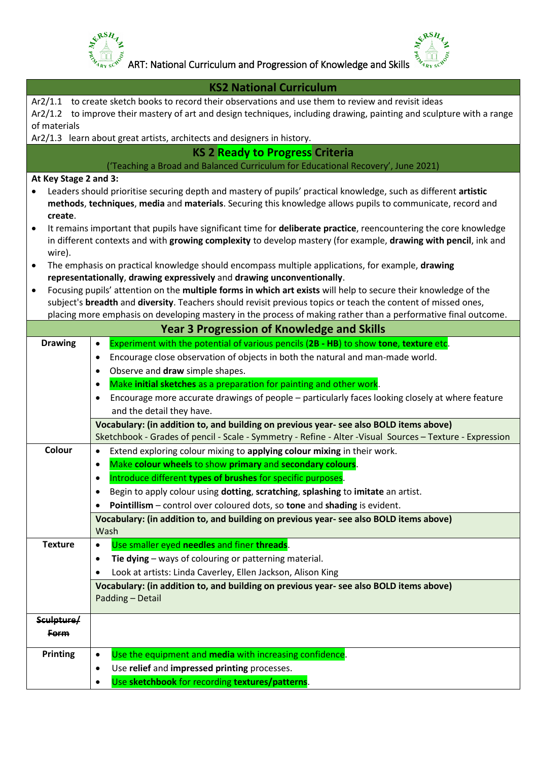

 $\frac{e^{x}{}^{RSH}z}{\sqrt{\frac{10}{x_{16}}e^{x_{2}}}}$  ART: National Curriculum and Progression of Knowledge and Skills  $\frac{e^{x}{}^{RSH}z}{\sqrt{\frac{10}{x_{16}}e^{x_{2}}}}$ 

|                       | <b>KS2 National Curriculum</b>                                                                                                                                                                      |
|-----------------------|-----------------------------------------------------------------------------------------------------------------------------------------------------------------------------------------------------|
|                       | Ar2/1.1 to create sketch books to record their observations and use them to review and revisit ideas                                                                                                |
|                       | Ar2/1.2 to improve their mastery of art and design techniques, including drawing, painting and sculpture with a range                                                                               |
| of materials          | Ar2/1.3 learn about great artists, architects and designers in history.                                                                                                                             |
|                       | <b>KS 2 Ready to Progress Criteria</b>                                                                                                                                                              |
|                       | ('Teaching a Broad and Balanced Curriculum for Educational Recovery', June 2021)                                                                                                                    |
| At Key Stage 2 and 3: |                                                                                                                                                                                                     |
|                       | Leaders should prioritise securing depth and mastery of pupils' practical knowledge, such as different artistic                                                                                     |
|                       | methods, techniques, media and materials. Securing this knowledge allows pupils to communicate, record and                                                                                          |
| create.               |                                                                                                                                                                                                     |
| $\bullet$             | It remains important that pupils have significant time for deliberate practice, reencountering the core knowledge                                                                                   |
|                       | in different contexts and with growing complexity to develop mastery (for example, drawing with pencil, ink and                                                                                     |
| wire).<br>$\bullet$   | The emphasis on practical knowledge should encompass multiple applications, for example, drawing                                                                                                    |
|                       | representationally, drawing expressively and drawing unconventionally.                                                                                                                              |
| $\bullet$             | Focusing pupils' attention on the multiple forms in which art exists will help to secure their knowledge of the                                                                                     |
|                       | subject's breadth and diversity. Teachers should revisit previous topics or teach the content of missed ones,                                                                                       |
|                       | placing more emphasis on developing mastery in the process of making rather than a performative final outcome.                                                                                      |
|                       | <b>Year 3 Progression of Knowledge and Skills</b>                                                                                                                                                   |
| <b>Drawing</b>        | Experiment with the potential of various pencils (2B - HB) to show tone, texture etc.<br>$\bullet$                                                                                                  |
|                       | Encourage close observation of objects in both the natural and man-made world.<br>$\bullet$                                                                                                         |
|                       | Observe and draw simple shapes.<br>$\bullet$                                                                                                                                                        |
|                       | Make initial sketches as a preparation for painting and other work.<br>$\bullet$                                                                                                                    |
|                       | Encourage more accurate drawings of people - particularly faces looking closely at where feature<br>$\bullet$                                                                                       |
|                       | and the detail they have.                                                                                                                                                                           |
|                       | Vocabulary: (in addition to, and building on previous year- see also BOLD items above)<br>Sketchbook - Grades of pencil - Scale - Symmetry - Refine - Alter - Visual Sources - Texture - Expression |
| Colour                | Extend exploring colour mixing to applying colour mixing in their work.<br>$\bullet$                                                                                                                |
|                       | Make colour wheels to show primary and secondary colours.<br>$\bullet$                                                                                                                              |
|                       | Introduce different types of brushes for specific purposes.<br>٠                                                                                                                                    |
|                       | Begin to apply colour using dotting, scratching, splashing to imitate an artist.<br>$\bullet$                                                                                                       |
|                       | Pointillism – control over coloured dots, so tone and shading is evident.<br>٠                                                                                                                      |
|                       | Vocabulary: (in addition to, and building on previous year- see also BOLD items above)                                                                                                              |
|                       | Wash                                                                                                                                                                                                |
| <b>Texture</b>        | Use smaller eyed needles and finer threads.<br>$\bullet$                                                                                                                                            |
|                       | Tie dying - ways of colouring or patterning material.<br>$\bullet$                                                                                                                                  |
|                       | Look at artists: Linda Caverley, Ellen Jackson, Alison King<br>$\bullet$                                                                                                                            |
|                       | Vocabulary: (in addition to, and building on previous year- see also BOLD items above)                                                                                                              |
|                       | Padding - Detail                                                                                                                                                                                    |
| Sculpture/            |                                                                                                                                                                                                     |
| <b>Form</b>           |                                                                                                                                                                                                     |
| <b>Printing</b>       | Use the equipment and media with increasing confidence.<br>$\bullet$                                                                                                                                |
|                       | Use relief and impressed printing processes.<br>$\bullet$                                                                                                                                           |
|                       | Use sketchbook for recording textures/patterns.<br>$\bullet$                                                                                                                                        |
|                       |                                                                                                                                                                                                     |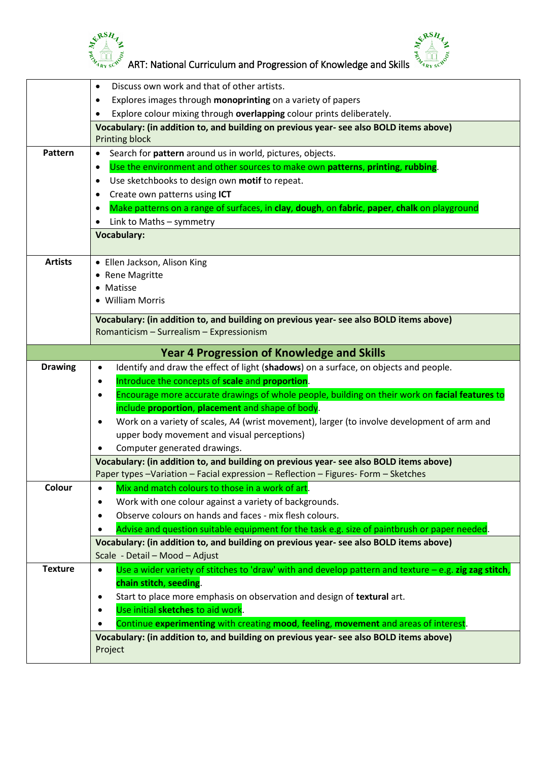



|                | GRSH<br>ART: National Curriculum and Progression of Knowledge and Skills                                                                                                                                                                                                                                                                                                                 |
|----------------|------------------------------------------------------------------------------------------------------------------------------------------------------------------------------------------------------------------------------------------------------------------------------------------------------------------------------------------------------------------------------------------|
|                | Discuss own work and that of other artists.<br>٠<br>Explores images through monoprinting on a variety of papers<br>$\bullet$<br>Explore colour mixing through overlapping colour prints deliberately.<br>Vocabulary: (in addition to, and building on previous year- see also BOLD items above)                                                                                          |
|                | <b>Printing block</b>                                                                                                                                                                                                                                                                                                                                                                    |
| Pattern        | Search for pattern around us in world, pictures, objects.<br>Use the environment and other sources to make own patterns, printing, rubbing.<br>$\bullet$<br>Use sketchbooks to design own motif to repeat.<br>$\bullet$<br>Create own patterns using ICT<br>٠<br>Make patterns on a range of surfaces, in clay, dough, on fabric, paper, chalk on playground<br>Link to Maths - symmetry |
|                | <b>Vocabulary:</b>                                                                                                                                                                                                                                                                                                                                                                       |
| <b>Artists</b> | • Ellen Jackson, Alison King<br>• Rene Magritte<br>• Matisse<br>• William Morris                                                                                                                                                                                                                                                                                                         |
|                | Vocabulary: (in addition to, and building on previous year- see also BOLD items above)<br>Romanticism - Surrealism - Expressionism                                                                                                                                                                                                                                                       |
|                |                                                                                                                                                                                                                                                                                                                                                                                          |
|                | <b>Year 4 Progression of Knowledge and Skills</b>                                                                                                                                                                                                                                                                                                                                        |
| <b>Drawing</b> | Identify and draw the effect of light (shadows) on a surface, on objects and people.<br>٠                                                                                                                                                                                                                                                                                                |
|                | Introduce the concepts of scale and proportion.<br>٠                                                                                                                                                                                                                                                                                                                                     |
|                | Encourage more accurate drawings of whole people, building on their work on facial features to<br>٠                                                                                                                                                                                                                                                                                      |
|                | include proportion, placement and shape of body.                                                                                                                                                                                                                                                                                                                                         |
|                | Work on a variety of scales, A4 (wrist movement), larger (to involve development of arm and<br>upper body movement and visual perceptions)                                                                                                                                                                                                                                               |
|                | Computer generated drawings.                                                                                                                                                                                                                                                                                                                                                             |
|                | Vocabulary: (in addition to, and building on previous year- see also BOLD items above)<br>Paper types -Variation - Facial expression - Reflection - Figures- Form - Sketches                                                                                                                                                                                                             |
| Colour         | Mix and match colours to those in a work of art.<br>$\bullet$                                                                                                                                                                                                                                                                                                                            |
|                | Work with one colour against a variety of backgrounds.<br>$\bullet$                                                                                                                                                                                                                                                                                                                      |
|                | Observe colours on hands and faces - mix flesh colours.<br>٠                                                                                                                                                                                                                                                                                                                             |
|                | Advise and question suitable equipment for the task e.g. size of paintbrush or paper needed.<br>Vocabulary: (in addition to, and building on previous year- see also BOLD items above)                                                                                                                                                                                                   |
|                | Scale - Detail - Mood - Adjust                                                                                                                                                                                                                                                                                                                                                           |
| <b>Texture</b> | Use a wider variety of stitches to 'draw' with and develop pattern and texture $-e.g.$ zig zag stitch,<br>$\bullet$<br>chain stitch, seeding.<br>Start to place more emphasis on observation and design of textural art.<br>$\bullet$<br>Use initial sketches to aid work.<br>٠                                                                                                          |
|                | Continue experimenting with creating mood, feeling, movement and areas of interest.<br>Vocabulary: (in addition to, and building on previous year- see also BOLD items above)                                                                                                                                                                                                            |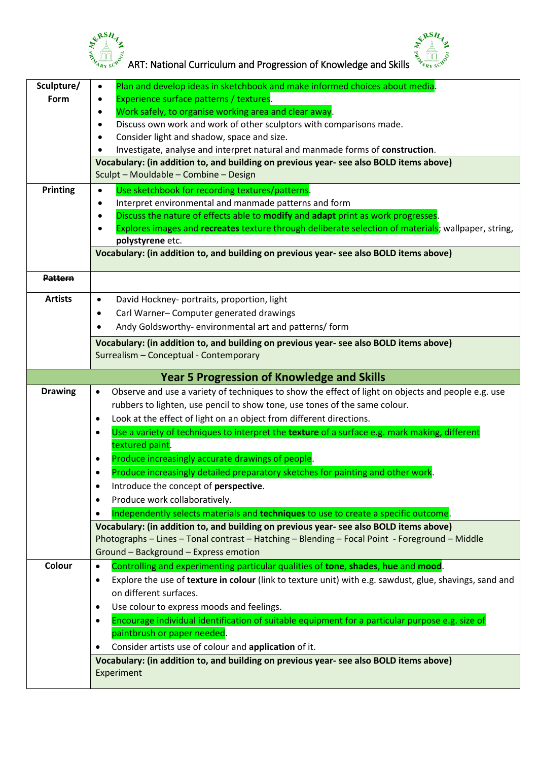

 $\frac{e^{x}{}^{RSH}z}{\sqrt{\frac{10}{x_{16}}e^{x_{2}}}}$  ART: National Curriculum and Progression of Knowledge and Skills  $\frac{e^{x}{}^{RSH}z}{\sqrt{\frac{10}{x_{16}}e^{x_{2}}}}$ 

| Sculpture/     | Plan and develop ideas in sketchbook and make informed choices about media.<br>$\bullet$                                                                                                 |
|----------------|------------------------------------------------------------------------------------------------------------------------------------------------------------------------------------------|
| Form           | Experience surface patterns / textures.<br>$\bullet$                                                                                                                                     |
|                | Work safely, to organise working area and clear away.<br>$\bullet$                                                                                                                       |
|                | Discuss own work and work of other sculptors with comparisons made.<br>٠                                                                                                                 |
|                | Consider light and shadow, space and size.<br>$\bullet$                                                                                                                                  |
|                | Investigate, analyse and interpret natural and manmade forms of construction.<br>٠                                                                                                       |
|                | Vocabulary: (in addition to, and building on previous year- see also BOLD items above)<br>Sculpt - Mouldable - Combine - Design                                                          |
|                |                                                                                                                                                                                          |
| Printing       | Use sketchbook for recording textures/patterns.<br>$\bullet$                                                                                                                             |
|                | Interpret environmental and manmade patterns and form<br>$\bullet$<br>Discuss the nature of effects able to modify and adapt print as work progresses.<br>$\bullet$                      |
|                | Explores images and recreates texture through deliberate selection of materials; wallpaper, string,                                                                                      |
|                | polystyrene etc.                                                                                                                                                                         |
|                | Vocabulary: (in addition to, and building on previous year- see also BOLD items above)                                                                                                   |
| <b>Pattern</b> |                                                                                                                                                                                          |
| <b>Artists</b> | David Hockney- portraits, proportion, light<br>$\bullet$                                                                                                                                 |
|                | Carl Warner-Computer generated drawings<br>٠                                                                                                                                             |
|                | Andy Goldsworthy-environmental art and patterns/form                                                                                                                                     |
|                | Vocabulary: (in addition to, and building on previous year- see also BOLD items above)                                                                                                   |
|                | Surrealism - Conceptual - Contemporary                                                                                                                                                   |
|                |                                                                                                                                                                                          |
|                | <b>Year 5 Progression of Knowledge and Skills</b>                                                                                                                                        |
| <b>Drawing</b> | Observe and use a variety of techniques to show the effect of light on objects and people e.g. use<br>$\bullet$                                                                          |
|                | rubbers to lighten, use pencil to show tone, use tones of the same colour.                                                                                                               |
|                | Look at the effect of light on an object from different directions.<br>$\bullet$                                                                                                         |
|                | Use a variety of techniques to interpret the texture of a surface e.g. mark making, different<br>$\bullet$                                                                               |
|                | textured paint.                                                                                                                                                                          |
|                | Produce increasingly accurate drawings of people.<br>٠                                                                                                                                   |
|                | Produce increasingly detailed preparatory sketches for painting and other work.                                                                                                          |
|                | Introduce the concept of perspective.<br>$\bullet$                                                                                                                                       |
|                | Produce work collaboratively.<br>$\bullet$                                                                                                                                               |
|                | Independently selects materials and techniques to use to create a specific outcome.<br>$\bullet$                                                                                         |
|                | Vocabulary: (in addition to, and building on previous year- see also BOLD items above)<br>Photographs - Lines - Tonal contrast - Hatching - Blending - Focal Point - Foreground - Middle |
|                | Ground - Background - Express emotion                                                                                                                                                    |
| Colour         | Controlling and experimenting particular qualities of tone, shades, hue and mood.<br>$\bullet$                                                                                           |
|                | Explore the use of texture in colour (link to texture unit) with e.g. sawdust, glue, shavings, sand and<br>$\bullet$                                                                     |
|                | on different surfaces.                                                                                                                                                                   |
|                | Use colour to express moods and feelings.<br>٠                                                                                                                                           |
|                | Encourage individual identification of suitable equipment for a particular purpose e.g. size of<br>٠                                                                                     |
|                | paintbrush or paper needed.                                                                                                                                                              |
|                | Consider artists use of colour and application of it.                                                                                                                                    |
|                | Vocabulary: (in addition to, and building on previous year- see also BOLD items above)                                                                                                   |
|                | Experiment                                                                                                                                                                               |
|                |                                                                                                                                                                                          |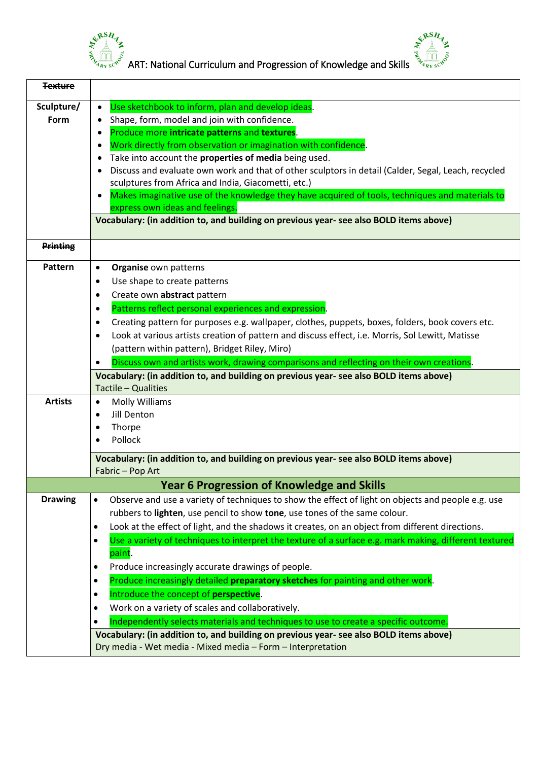



 $\frac{S^{RSA}}{S_{\lambda_{4_{R\gamma}}S^{C^{N}}}}$  ART: National Curriculum and Progression of Knowledge and Skills

| <b>Texture</b>     |                                                                                                                                                                                           |
|--------------------|-------------------------------------------------------------------------------------------------------------------------------------------------------------------------------------------|
| Sculpture/<br>Form | Use sketchbook to inform, plan and develop ideas.<br>$\bullet$<br>Shape, form, model and join with confidence.<br>$\bullet$<br>Produce more intricate patterns and textures.<br>$\bullet$ |
|                    | Work directly from observation or imagination with confidence.<br>٠                                                                                                                       |
|                    | Take into account the properties of media being used.<br>٠                                                                                                                                |
|                    | Discuss and evaluate own work and that of other sculptors in detail (Calder, Segal, Leach, recycled                                                                                       |
|                    | sculptures from Africa and India, Giacometti, etc.)                                                                                                                                       |
|                    | Makes imaginative use of the knowledge they have acquired of tools, techniques and materials to<br>express own ideas and feelings.                                                        |
|                    | Vocabulary: (in addition to, and building on previous year- see also BOLD items above)                                                                                                    |
| <b>Printing</b>    |                                                                                                                                                                                           |
|                    |                                                                                                                                                                                           |
| Pattern            | Organise own patterns<br>$\bullet$                                                                                                                                                        |
|                    | Use shape to create patterns<br>$\bullet$                                                                                                                                                 |
|                    | Create own abstract pattern<br>٠                                                                                                                                                          |
|                    | Patterns reflect personal experiences and expression.<br>$\bullet$                                                                                                                        |
|                    | Creating pattern for purposes e.g. wallpaper, clothes, puppets, boxes, folders, book covers etc.<br>٠                                                                                     |
|                    | Look at various artists creation of pattern and discuss effect, i.e. Morris, Sol Lewitt, Matisse<br>$\bullet$                                                                             |
|                    | (pattern within pattern), Bridget Riley, Miro)                                                                                                                                            |
|                    | Discuss own and artists work, drawing comparisons and reflecting on their own creations.<br>$\bullet$                                                                                     |
|                    | Vocabulary: (in addition to, and building on previous year- see also BOLD items above)                                                                                                    |
|                    | Tactile - Qualities                                                                                                                                                                       |
| <b>Artists</b>     | <b>Molly Williams</b><br>$\bullet$                                                                                                                                                        |
|                    | Jill Denton<br>$\bullet$                                                                                                                                                                  |
|                    | Thorpe<br>$\bullet$                                                                                                                                                                       |
|                    | Pollock<br>$\bullet$                                                                                                                                                                      |
|                    | Vocabulary: (in addition to, and building on previous year- see also BOLD items above)                                                                                                    |
|                    | Fabric - Pop Art                                                                                                                                                                          |
|                    | <b>Year 6 Progression of Knowledge and Skills</b>                                                                                                                                         |
| <b>Drawing</b>     | Observe and use a variety of techniques to show the effect of light on objects and people e.g. use<br>٠                                                                                   |
|                    | rubbers to lighten, use pencil to show tone, use tones of the same colour.                                                                                                                |
|                    | Look at the effect of light, and the shadows it creates, on an object from different directions.<br>٠                                                                                     |
|                    | Use a variety of techniques to interpret the texture of a surface e.g. mark making, different textured<br>$\bullet$                                                                       |
|                    | paint.                                                                                                                                                                                    |
|                    | Produce increasingly accurate drawings of people.<br>$\bullet$                                                                                                                            |
|                    | Produce increasingly detailed preparatory sketches for painting and other work.<br>٠                                                                                                      |
|                    | Introduce the concept of perspective.<br>$\bullet$                                                                                                                                        |
|                    | Work on a variety of scales and collaboratively.<br>٠                                                                                                                                     |
|                    | Independently selects materials and techniques to use to create a specific outcome.<br>$\bullet$                                                                                          |
|                    | Vocabulary: (in addition to, and building on previous year- see also BOLD items above)                                                                                                    |
|                    | Dry media - Wet media - Mixed media - Form - Interpretation                                                                                                                               |